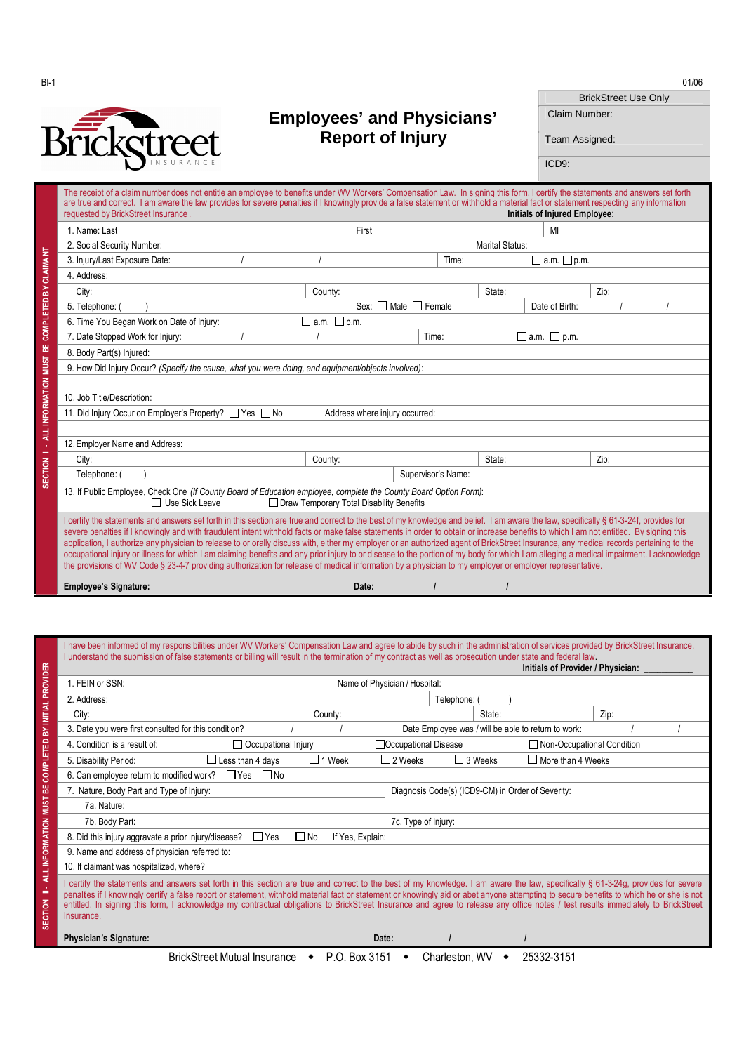

## **Employees' and Physicians' Report of Injury**

| BI-1          |                                   | 01/06                       |
|---------------|-----------------------------------|-----------------------------|
|               |                                   | <b>BrickStreet Use Only</b> |
| $\rightarrow$ | <b>Employees' and Physicians'</b> | Claim Number:               |
| Rrickotreet   | <b>Report of Injury</b>           | Team Assigned:              |

ICD9:

|                               | The receipt of a claim number does not entitle an emplovee to benefits under WV Workers' Compensation Law. In signing this form, I certify the statements and answers set forth<br>are true and correct. I am aware the law provides for severe penalties if I knowingly provide a false statement or withhold a material fact or statement respecting any information<br>requested by BrickStreet Insurance.                                                                                                                                                                                                                                                                                                                                                                                                                                                                                                                    |                  |                                            |       |                        | <b>Initials of Injured Employee:</b> |      |  |
|-------------------------------|----------------------------------------------------------------------------------------------------------------------------------------------------------------------------------------------------------------------------------------------------------------------------------------------------------------------------------------------------------------------------------------------------------------------------------------------------------------------------------------------------------------------------------------------------------------------------------------------------------------------------------------------------------------------------------------------------------------------------------------------------------------------------------------------------------------------------------------------------------------------------------------------------------------------------------|------------------|--------------------------------------------|-------|------------------------|--------------------------------------|------|--|
|                               | 1. Name: Last                                                                                                                                                                                                                                                                                                                                                                                                                                                                                                                                                                                                                                                                                                                                                                                                                                                                                                                    |                  | First                                      |       |                        | MI                                   |      |  |
|                               | 2. Social Security Number:                                                                                                                                                                                                                                                                                                                                                                                                                                                                                                                                                                                                                                                                                                                                                                                                                                                                                                       |                  |                                            |       | <b>Marital Status:</b> |                                      |      |  |
|                               | 3. Injury/Last Exposure Date:                                                                                                                                                                                                                                                                                                                                                                                                                                                                                                                                                                                                                                                                                                                                                                                                                                                                                                    |                  |                                            | Time: |                        | $\Box$ a.m. $\Box$ p.m.              |      |  |
|                               | 4. Address:                                                                                                                                                                                                                                                                                                                                                                                                                                                                                                                                                                                                                                                                                                                                                                                                                                                                                                                      |                  |                                            |       |                        |                                      |      |  |
|                               | City:<br>County:                                                                                                                                                                                                                                                                                                                                                                                                                                                                                                                                                                                                                                                                                                                                                                                                                                                                                                                 |                  |                                            |       | State:                 |                                      | Zip: |  |
| <b>COMPLETED BY CLAIMANT</b>  | 5. Telephone: (                                                                                                                                                                                                                                                                                                                                                                                                                                                                                                                                                                                                                                                                                                                                                                                                                                                                                                                  |                  | $Sex$ $\Box$ Male $\Box$ Female            |       |                        | Date of Birth:                       |      |  |
|                               | 6. Time You Began Work on Date of Injury:                                                                                                                                                                                                                                                                                                                                                                                                                                                                                                                                                                                                                                                                                                                                                                                                                                                                                        | a.m. $\Box$ p.m. |                                            |       |                        |                                      |      |  |
|                               | 7. Date Stopped Work for Injury:                                                                                                                                                                                                                                                                                                                                                                                                                                                                                                                                                                                                                                                                                                                                                                                                                                                                                                 |                  | Time:                                      |       |                        | $\Box$ a.m. $\Box$ p.m.              |      |  |
| 님                             | 8. Body Part(s) Injured:                                                                                                                                                                                                                                                                                                                                                                                                                                                                                                                                                                                                                                                                                                                                                                                                                                                                                                         |                  |                                            |       |                        |                                      |      |  |
|                               | 9. How Did Injury Occur? (Specify the cause, what you were doing, and equipment/objects involved):                                                                                                                                                                                                                                                                                                                                                                                                                                                                                                                                                                                                                                                                                                                                                                                                                               |                  |                                            |       |                        |                                      |      |  |
|                               |                                                                                                                                                                                                                                                                                                                                                                                                                                                                                                                                                                                                                                                                                                                                                                                                                                                                                                                                  |                  |                                            |       |                        |                                      |      |  |
|                               | 10. Job Title/Description:                                                                                                                                                                                                                                                                                                                                                                                                                                                                                                                                                                                                                                                                                                                                                                                                                                                                                                       |                  |                                            |       |                        |                                      |      |  |
| ALL INFO RMATION MUST         | 11. Did Injury Occur on Employer's Property? □ Yes □ No                                                                                                                                                                                                                                                                                                                                                                                                                                                                                                                                                                                                                                                                                                                                                                                                                                                                          |                  | Address where injury occurred:             |       |                        |                                      |      |  |
|                               |                                                                                                                                                                                                                                                                                                                                                                                                                                                                                                                                                                                                                                                                                                                                                                                                                                                                                                                                  |                  |                                            |       |                        |                                      |      |  |
| ×<br>$\overline{\phantom{0}}$ | 12. Employer Name and Address:                                                                                                                                                                                                                                                                                                                                                                                                                                                                                                                                                                                                                                                                                                                                                                                                                                                                                                   |                  |                                            |       |                        |                                      |      |  |
|                               | City:                                                                                                                                                                                                                                                                                                                                                                                                                                                                                                                                                                                                                                                                                                                                                                                                                                                                                                                            | County:          |                                            |       | State:                 |                                      | Zip: |  |
| SECTION                       | Telephone: (                                                                                                                                                                                                                                                                                                                                                                                                                                                                                                                                                                                                                                                                                                                                                                                                                                                                                                                     |                  | Supervisor's Name:                         |       |                        |                                      |      |  |
|                               | 13. If Public Employee, Check One (If County Board of Education employee, complete the County Board Option Form):<br>□ Use Sick Leave                                                                                                                                                                                                                                                                                                                                                                                                                                                                                                                                                                                                                                                                                                                                                                                            |                  | □ Draw Temporary Total Disability Benefits |       |                        |                                      |      |  |
|                               | I certify the statements and answers set forth in this section are true and correct to the best of my knowledge and belief. I am aware the law, specifically § 61-3-24f, provides for<br>severe penalties if I knowingly and with fraudulent intent withhold facts or make false statements in order to obtain or increase benefits to which I am not entitled. By signing this<br>application, I authorize any physician to release to or orally discuss with, either my employer or an authorized agent of BrickStreet Insurance, any medical records pertaining to the<br>occupational injury or illness for which I am claiming benefits and any prior injury to or disease to the portion of my body for which I am alleging a medical impairment. I acknowledge<br>the provisions of WV Code § 23-4-7 providing authorization for release of medical information by a physician to my employer or employer representative. |                  |                                            |       |                        |                                      |      |  |
|                               | <b>Employee's Signature:</b>                                                                                                                                                                                                                                                                                                                                                                                                                                                                                                                                                                                                                                                                                                                                                                                                                                                                                                     |                  | Date:                                      |       |                        |                                      |      |  |

|                                                                                                                                                                                                                                                                                                                                                                                                                                                                                                                                                                                                              | I have been informed of my responsibilities under WV Workers' Compensation Law and agree to abide by such in the administration of services provided by BrickStreet Insurance.<br>I understand the submission of false statements or billing will result in the termination of my contract as well as prosecution under state and federal law. | Initials of Provider / Physician:                            |      |  |
|--------------------------------------------------------------------------------------------------------------------------------------------------------------------------------------------------------------------------------------------------------------------------------------------------------------------------------------------------------------------------------------------------------------------------------------------------------------------------------------------------------------------------------------------------------------------------------------------------------------|------------------------------------------------------------------------------------------------------------------------------------------------------------------------------------------------------------------------------------------------------------------------------------------------------------------------------------------------|--------------------------------------------------------------|------|--|
|                                                                                                                                                                                                                                                                                                                                                                                                                                                                                                                                                                                                              | 1. FEIN or SSN:                                                                                                                                                                                                                                                                                                                                | Name of Physician / Hospital:                                |      |  |
| BYINITIAL PROVIDER                                                                                                                                                                                                                                                                                                                                                                                                                                                                                                                                                                                           | 2. Address:                                                                                                                                                                                                                                                                                                                                    | Telephone:                                                   |      |  |
|                                                                                                                                                                                                                                                                                                                                                                                                                                                                                                                                                                                                              | County:<br>City:                                                                                                                                                                                                                                                                                                                               | State:                                                       | Zip: |  |
|                                                                                                                                                                                                                                                                                                                                                                                                                                                                                                                                                                                                              | 3. Date you were first consulted for this condition?                                                                                                                                                                                                                                                                                           | Date Employee was / will be able to return to work:          |      |  |
|                                                                                                                                                                                                                                                                                                                                                                                                                                                                                                                                                                                                              | Occupational Injury<br>4. Condition is a result of:                                                                                                                                                                                                                                                                                            | □ Occupational Disease<br>Non-Occupational Condition         |      |  |
| <b>COMPLETED</b>                                                                                                                                                                                                                                                                                                                                                                                                                                                                                                                                                                                             | $\Box$ Less than 4 days<br>$\Box$ 1 Week<br>5. Disability Period:                                                                                                                                                                                                                                                                              | $\Box$ 2 Weeks<br>$\Box$ 3 Weeks<br>$\Box$ More than 4 Weeks |      |  |
| $\Box$ Yes $\Box$ No<br>6. Can employee return to modified work?                                                                                                                                                                                                                                                                                                                                                                                                                                                                                                                                             |                                                                                                                                                                                                                                                                                                                                                |                                                              |      |  |
| 볾                                                                                                                                                                                                                                                                                                                                                                                                                                                                                                                                                                                                            | 7. Nature, Body Part and Type of Injury:                                                                                                                                                                                                                                                                                                       | Diagnosis Code(s) (ICD9-CM) in Order of Severity:            |      |  |
|                                                                                                                                                                                                                                                                                                                                                                                                                                                                                                                                                                                                              | 7a. Nature:                                                                                                                                                                                                                                                                                                                                    |                                                              |      |  |
| ALL INFORMATION MUST                                                                                                                                                                                                                                                                                                                                                                                                                                                                                                                                                                                         | 7b. Body Part:                                                                                                                                                                                                                                                                                                                                 | 7c. Type of Injury:                                          |      |  |
|                                                                                                                                                                                                                                                                                                                                                                                                                                                                                                                                                                                                              | $\Box$ Yes<br>$\Box$ No<br>8. Did this injury aggravate a prior injury/disease?<br>If Yes, Explain:                                                                                                                                                                                                                                            |                                                              |      |  |
|                                                                                                                                                                                                                                                                                                                                                                                                                                                                                                                                                                                                              | 9. Name and address of physician referred to:                                                                                                                                                                                                                                                                                                  |                                                              |      |  |
|                                                                                                                                                                                                                                                                                                                                                                                                                                                                                                                                                                                                              | 10. If claimant was hospitalized, where?                                                                                                                                                                                                                                                                                                       |                                                              |      |  |
| I certify the statements and answers set forth in this section are true and correct to the best of my knowledge. I am aware the law, specifically § 61-3-24g, provides for severe<br>- 1<br>-<br>penalties if I knowingly certify a false report or statement, withhold material fact or statement or knowingly aid or abet anyone attempting to secure benefits to which he or she is not<br>ECTION<br>entitled. In signing this form, I acknowledge my contractual obligations to BrickStreet Insurance and agree to release any office notes / test results immediately to BrickStreet<br>Insurance.<br>ഄ |                                                                                                                                                                                                                                                                                                                                                |                                                              |      |  |
|                                                                                                                                                                                                                                                                                                                                                                                                                                                                                                                                                                                                              | <b>Physician's Signature:</b>                                                                                                                                                                                                                                                                                                                  | Date:                                                        |      |  |
|                                                                                                                                                                                                                                                                                                                                                                                                                                                                                                                                                                                                              | BrickStreet Mutual Insurance • P.O. Box 3151                                                                                                                                                                                                                                                                                                   | 25332-3151<br>Charleston, WV                                 |      |  |